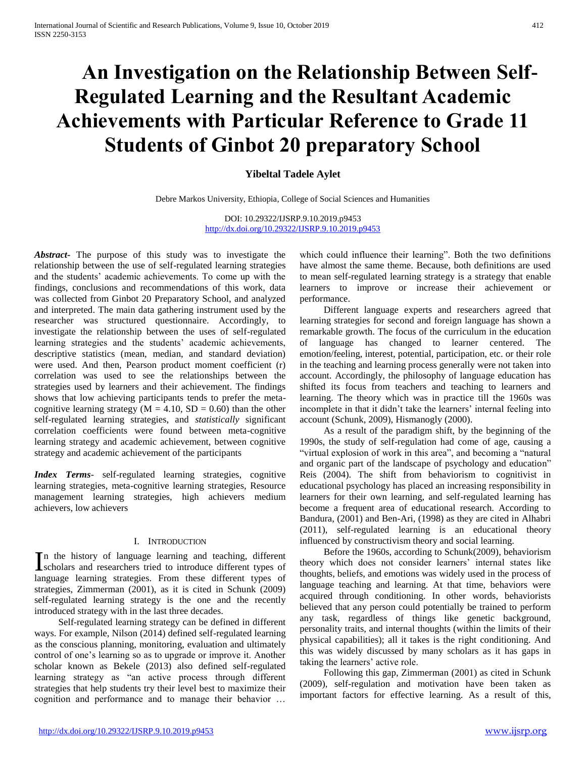# **An Investigation on the Relationship Between Self-Regulated Learning and the Resultant Academic Achievements with Particular Reference to Grade 11 Students of Ginbot 20 preparatory School**

## **Yibeltal Tadele Aylet**

Debre Markos University, Ethiopia, College of Social Sciences and Humanities

DOI: 10.29322/IJSRP.9.10.2019.p9453 <http://dx.doi.org/10.29322/IJSRP.9.10.2019.p9453>

*Abstract***-** The purpose of this study was to investigate the relationship between the use of self-regulated learning strategies and the students' academic achievements. To come up with the findings, conclusions and recommendations of this work, data was collected from Ginbot 20 Preparatory School, and analyzed and interpreted. The main data gathering instrument used by the researcher was structured questionnaire. Accordingly, to investigate the relationship between the uses of self-regulated learning strategies and the students' academic achievements, descriptive statistics (mean, median, and standard deviation) were used. And then, Pearson product moment coefficient (r) correlation was used to see the relationships between the strategies used by learners and their achievement. The findings shows that low achieving participants tends to prefer the metacognitive learning strategy ( $M = 4.10$ ,  $SD = 0.60$ ) than the other self-regulated learning strategies, and *statistically* significant correlation coefficients were found between meta-cognitive learning strategy and academic achievement, between cognitive strategy and academic achievement of the participants

*Index Terms*- self-regulated learning strategies, cognitive learning strategies, meta-cognitive learning strategies, Resource management learning strategies, high achievers medium achievers, low achievers

## I. INTRODUCTION

n the history of language learning and teaching, different In the history of language learning and teaching, different scholars and researchers tried to introduce different types of language learning strategies. From these different types of strategies, Zimmerman (2001), as it is cited in Schunk (2009) self-regulated learning strategy is the one and the recently introduced strategy with in the last three decades.

 Self-regulated learning strategy can be defined in different ways. For example, Nilson (2014) defined self-regulated learning as the conscious planning, monitoring, evaluation and ultimately control of one's learning so as to upgrade or improve it. Another scholar known as Bekele (2013) also defined self-regulated learning strategy as "an active process through different strategies that help students try their level best to maximize their cognition and performance and to manage their behavior …

which could influence their learning". Both the two definitions have almost the same theme. Because, both definitions are used to mean self-regulated learning strategy is a strategy that enable learners to improve or increase their achievement or performance.

 Different language experts and researchers agreed that learning strategies for second and foreign language has shown a remarkable growth. The focus of the curriculum in the education of language has changed to learner centered. The emotion/feeling, interest, potential, participation, etc. or their role in the teaching and learning process generally were not taken into account. Accordingly, the philosophy of language education has shifted its focus from teachers and teaching to learners and learning. The theory which was in practice till the 1960s was incomplete in that it didn't take the learners' internal feeling into account (Schunk, 2009), Hismanogly (2000).

 As a result of the paradigm shift, by the beginning of the 1990s, the study of self-regulation had come of age, causing a "virtual explosion of work in this area", and becoming a "natural and organic part of the landscape of psychology and education" Reis (2004). The shift from behaviorism to cognitivist in educational psychology has placed an increasing responsibility in learners for their own learning, and self-regulated learning has become a frequent area of educational research. According to Bandura, (2001) and Ben-Ari, (1998) as they are cited in Alhabri (2011), self-regulated learning is an educational theory influenced by constructivism theory and social learning.

 Before the 1960s, according to Schunk(2009), behaviorism theory which does not consider learners' internal states like thoughts, beliefs, and emotions was widely used in the process of language teaching and learning. At that time, behaviors were acquired through conditioning. In other words, behaviorists believed that any person could potentially be trained to perform any task, regardless of things like genetic background, personality traits, and internal thoughts (within the limits of their physical capabilities); all it takes is the right conditioning. And this was widely discussed by many scholars as it has gaps in taking the learners' active role.

 Following this gap, Zimmerman (2001) as cited in Schunk (2009), self-regulation and motivation have been taken as important factors for effective learning. As a result of this,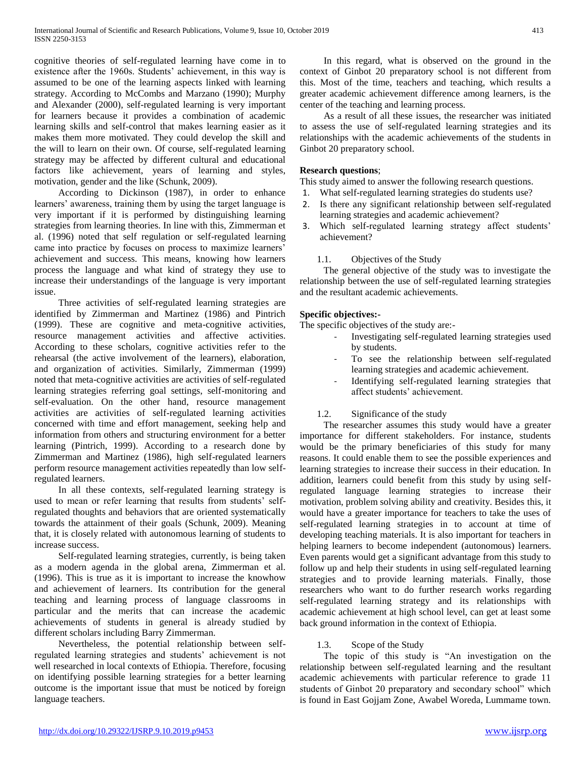cognitive theories of self-regulated learning have come in to existence after the 1960s. Students' achievement, in this way is assumed to be one of the learning aspects linked with learning strategy. According to McCombs and Marzano (1990); Murphy and Alexander (2000), self-regulated learning is very important for learners because it provides a combination of academic learning skills and self-control that makes learning easier as it makes them more motivated. They could develop the skill and the will to learn on their own. Of course, self-regulated learning strategy may be affected by different cultural and educational factors like achievement, years of learning and styles, motivation, gender and the like (Schunk, 2009).

 According to Dickinson (1987), in order to enhance learners' awareness, training them by using the target language is very important if it is performed by distinguishing learning strategies from learning theories. In line with this, Zimmerman et al. (1996) noted that self regulation or self-regulated learning came into practice by focuses on process to maximize learners' achievement and success. This means, knowing how learners process the language and what kind of strategy they use to increase their understandings of the language is very important issue.

 Three activities of self-regulated learning strategies are identified by Zimmerman and Martinez (1986) and Pintrich (1999). These are cognitive and meta-cognitive activities, resource management activities and affective activities. According to these scholars, cognitive activities refer to the rehearsal (the active involvement of the learners), elaboration, and organization of activities. Similarly, Zimmerman (1999) noted that meta-cognitive activities are activities of self-regulated learning strategies referring goal settings, self-monitoring and self-evaluation. On the other hand, resource management activities are activities of self-regulated learning activities concerned with time and effort management, seeking help and information from others and structuring environment for a better learning (Pintrich, 1999). According to a research done by Zimmerman and Martinez (1986), high self-regulated learners perform resource management activities repeatedly than low selfregulated learners.

 In all these contexts, self-regulated learning strategy is used to mean or refer learning that results from students' selfregulated thoughts and behaviors that are oriented systematically towards the attainment of their goals (Schunk, 2009). Meaning that, it is closely related with autonomous learning of students to increase success.

 Self-regulated learning strategies, currently, is being taken as a modern agenda in the global arena, Zimmerman et al. (1996). This is true as it is important to increase the knowhow and achievement of learners. Its contribution for the general teaching and learning process of language classrooms in particular and the merits that can increase the academic achievements of students in general is already studied by different scholars including Barry Zimmerman.

 Nevertheless, the potential relationship between selfregulated learning strategies and students' achievement is not well researched in local contexts of Ethiopia. Therefore, focusing on identifying possible learning strategies for a better learning outcome is the important issue that must be noticed by foreign language teachers.

 In this regard, what is observed on the ground in the context of Ginbot 20 preparatory school is not different from this. Most of the time, teachers and teaching, which results a greater academic achievement difference among learners, is the center of the teaching and learning process.

 As a result of all these issues, the researcher was initiated to assess the use of self-regulated learning strategies and its relationships with the academic achievements of the students in Ginbot 20 preparatory school.

## **Research questions**;

This study aimed to answer the following research questions.

- 1. What self-regulated learning strategies do students use?
- 2. Is there any significant relationship between self-regulated learning strategies and academic achievement?
- 3. Which self-regulated learning strategy affect students' achievement?
	- 1.1. Objectives of the Study

 The general objective of the study was to investigate the relationship between the use of self-regulated learning strategies and the resultant academic achievements.

### **Specific objectives:-**

The specific objectives of the study are:-

- Investigating self-regulated learning strategies used by students.
- To see the relationship between self-regulated learning strategies and academic achievement.
- Identifying self-regulated learning strategies that affect students' achievement.

## 1.2. Significance of the study

 The researcher assumes this study would have a greater importance for different stakeholders. For instance, students would be the primary beneficiaries of this study for many reasons. It could enable them to see the possible experiences and learning strategies to increase their success in their education. In addition, learners could benefit from this study by using selfregulated language learning strategies to increase their motivation, problem solving ability and creativity. Besides this, it would have a greater importance for teachers to take the uses of self-regulated learning strategies in to account at time of developing teaching materials. It is also important for teachers in helping learners to become independent (autonomous) learners. Even parents would get a significant advantage from this study to follow up and help their students in using self-regulated learning strategies and to provide learning materials. Finally, those researchers who want to do further research works regarding self-regulated learning strategy and its relationships with academic achievement at high school level, can get at least some back ground information in the context of Ethiopia.

## 1.3. Scope of the Study

 The topic of this study is "An investigation on the relationship between self-regulated learning and the resultant academic achievements with particular reference to grade 11 students of Ginbot 20 preparatory and secondary school" which is found in East Gojjam Zone, Awabel Woreda, Lummame town.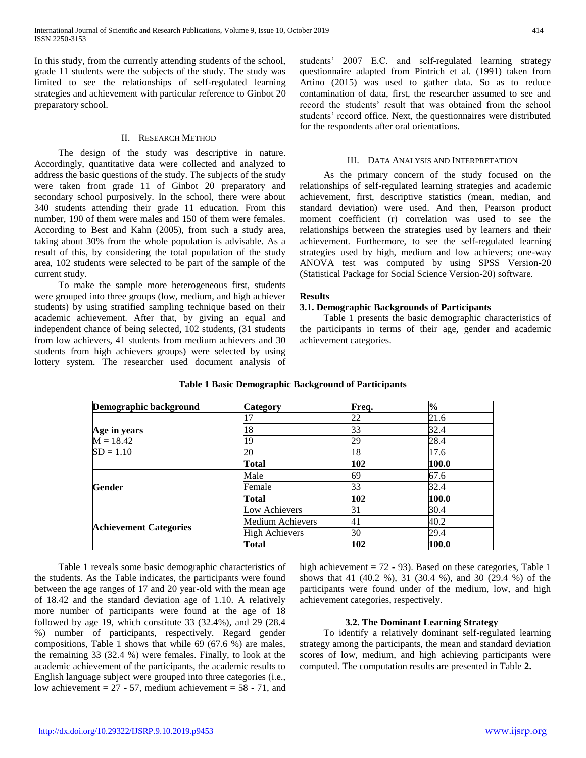In this study, from the currently attending students of the school, grade 11 students were the subjects of the study. The study was limited to see the relationships of self-regulated learning strategies and achievement with particular reference to Ginbot 20 preparatory school.

### II. RESEARCH METHOD

 The design of the study was descriptive in nature. Accordingly, quantitative data were collected and analyzed to address the basic questions of the study. The subjects of the study were taken from grade 11 of Ginbot 20 preparatory and secondary school purposively. In the school, there were about 340 students attending their grade 11 education. From this number, 190 of them were males and 150 of them were females. According to Best and Kahn (2005), from such a study area, taking about 30% from the whole population is advisable. As a result of this, by considering the total population of the study area, 102 students were selected to be part of the sample of the current study.

 To make the sample more heterogeneous first, students were grouped into three groups (low, medium, and high achiever students) by using stratified sampling technique based on their academic achievement. After that, by giving an equal and independent chance of being selected, 102 students, (31 students from low achievers, 41 students from medium achievers and 30 students from high achievers groups) were selected by using lottery system. The researcher used document analysis of students' 2007 E.C. and self-regulated learning strategy questionnaire adapted from Pintrich et al. (1991) taken from Artino (2015) was used to gather data. So as to reduce contamination of data, first, the researcher assumed to see and record the students' result that was obtained from the school students' record office. Next, the questionnaires were distributed for the respondents after oral orientations.

## III. DATA ANALYSIS AND INTERPRETATION

 As the primary concern of the study focused on the relationships of self-regulated learning strategies and academic achievement, first, descriptive statistics (mean, median, and standard deviation) were used. And then, Pearson product moment coefficient (r) correlation was used to see the relationships between the strategies used by learners and their achievement. Furthermore, to see the self-regulated learning strategies used by high, medium and low achievers; one-way ANOVA test was computed by using SPSS Version-20 (Statistical Package for Social Science Version-20) software.

#### **Results**

## **3.1. Demographic Backgrounds of Participants**

 Table 1 presents the basic demographic characteristics of the participants in terms of their age, gender and academic achievement categories.

| Demographic background        | Category              | Freq. | $\%$  |
|-------------------------------|-----------------------|-------|-------|
|                               |                       | 22    | 21.6  |
| Age in years                  | 18                    | 33    | 32.4  |
| $M = 18.42$                   | 9                     | 29    | 28.4  |
| $SD = 1.10$                   | 20                    | 18    | 17.6  |
|                               | Total                 | 102   | 100.0 |
| Gender                        | Male                  | 69    | 67.6  |
|                               | Female                | 33    | 32.4  |
|                               | Total                 | 102   | 100.0 |
|                               | Low Achievers         | 31    | 30.4  |
|                               | Medium Achievers      | 41    | 40.2  |
| <b>Achievement Categories</b> | <b>High Achievers</b> | 30    | 29.4  |
|                               | Total                 | 102   | 100.0 |

## **Table 1 Basic Demographic Background of Participants**

 Table 1 reveals some basic demographic characteristics of the students. As the Table indicates, the participants were found between the age ranges of 17 and 20 year-old with the mean age of 18.42 and the standard deviation age of 1.10. A relatively more number of participants were found at the age of 18 followed by age 19, which constitute 33 (32.4%), and 29 (28.4 %) number of participants, respectively. Regard gender compositions, Table 1 shows that while 69 (67.6 %) are males, the remaining 33 (32.4 %) were females. Finally, to look at the academic achievement of the participants, the academic results to English language subject were grouped into three categories (i.e., low achievement =  $27 - 57$ , medium achievement =  $58 - 71$ , and

high achievement  $= 72 - 93$ ). Based on these categories, Table 1 shows that 41 (40.2 %), 31 (30.4 %), and 30 (29.4 %) of the participants were found under of the medium, low, and high achievement categories, respectively.

## **3.2. The Dominant Learning Strategy**

 To identify a relatively dominant self-regulated learning strategy among the participants, the mean and standard deviation scores of low, medium, and high achieving participants were computed. The computation results are presented in Table **2.**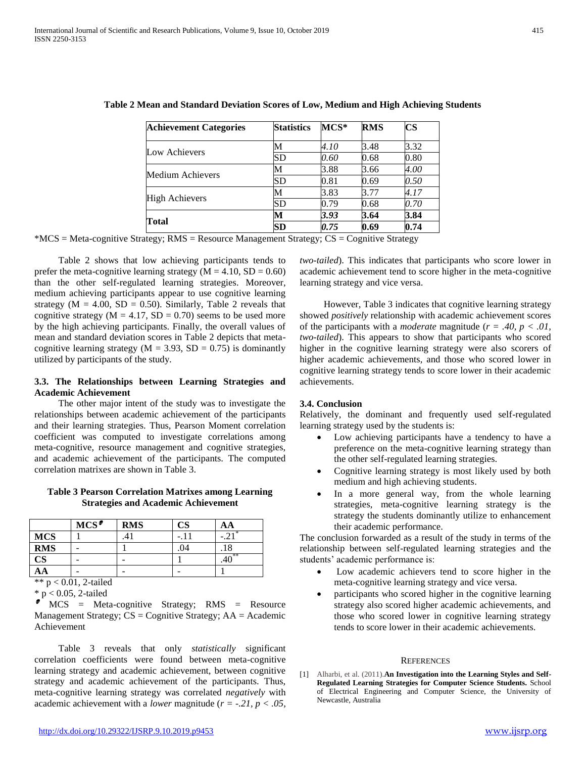| <b>Achievement Categories</b> | <b>Statistics</b> | $MCS^*$              | <b>RMS</b> | $\overline{\mathbf{C}}$ S |
|-------------------------------|-------------------|----------------------|------------|---------------------------|
| Low Achievers                 |                   | 4.10                 | 3.48       | 3.32                      |
|                               | SD                | 0.60                 | 0.68       | $0.80\,$                  |
|                               | M                 | 3.88                 | 3.66       | 4.00                      |
| Medium Achievers              | SD                | 0.81                 | 0.69       | 0.50                      |
|                               | м                 | 3.83                 | 3.77       | 4.17                      |
| <b>High Achievers</b>         | SD                | 0.79<br>3.93<br>0.75 | 0.68       | 0.70                      |
|                               | M                 |                      | 3.64       | 3.84                      |
| Total                         | SD                |                      | 0.69       | 0.74                      |

**Table 2 Mean and Standard Deviation Scores of Low, Medium and High Achieving Students**

 $*MCS = Meta-cognitive Strategy; RMS = Resource Management Strategy; CS = Cognitive Strategy$ 

 Table 2 shows that low achieving participants tends to prefer the meta-cognitive learning strategy  $(M = 4.10, SD = 0.60)$ than the other self-regulated learning strategies. Moreover, medium achieving participants appear to use cognitive learning strategy ( $M = 4.00$ ,  $SD = 0.50$ ). Similarly, Table 2 reveals that cognitive strategy ( $M = 4.17$ ,  $SD = 0.70$ ) seems to be used more by the high achieving participants. Finally, the overall values of mean and standard deviation scores in Table 2 depicts that metacognitive learning strategy ( $M = 3.93$ ,  $SD = 0.75$ ) is dominantly utilized by participants of the study.

## **3.3. The Relationships between Learning Strategies and Academic Achievement**

 The other major intent of the study was to investigate the relationships between academic achievement of the participants and their learning strategies. Thus, Pearson Moment correlation coefficient was computed to investigate correlations among meta-cognitive, resource management and cognitive strategies, and academic achievement of the participants. The computed correlation matrixes are shown in Table 3.

## **Table 3 Pearson Correlation Matrixes among Learning Strategies and Academic Achievement**

|               | $MCS^{\bullet}$ | <b>RMS</b> | $\mathop{\rm CS}\nolimits$ | AΑ  |
|---------------|-----------------|------------|----------------------------|-----|
| <b>MCS</b>    |                 |            |                            |     |
| <b>RMS</b>    |                 |            | .04                        | .10 |
| $\mathbf{CS}$ |                 |            |                            | **  |
| AА            |                 |            |                            |     |

\*\* p < 0.01, 2-tailed \* p < 0.05, 2-tailed

 MCS = Meta-cognitive Strategy; RMS = Resource Management Strategy;  $CS = Cognitive$  Strategy;  $AA = Academic$ Achievement

 Table 3 reveals that only *statistically* significant correlation coefficients were found between meta-cognitive learning strategy and academic achievement, between cognitive strategy and academic achievement of the participants. Thus, meta-cognitive learning strategy was correlated *negatively* with academic achievement with a *lower* magnitude (*r = -.21, p < .05,* 

*two-tailed*). This indicates that participants who score lower in academic achievement tend to score higher in the meta-cognitive learning strategy and vice versa.

 However, Table 3 indicates that cognitive learning strategy showed *positively* relationship with academic achievement scores of the participants with a *moderate* magnitude ( $r = .40$ ,  $p < .01$ , *two-tailed*). This appears to show that participants who scored higher in the cognitive learning strategy were also scorers of higher academic achievements, and those who scored lower in cognitive learning strategy tends to score lower in their academic achievements.

## **3.4. Conclusion**

Relatively, the dominant and frequently used self-regulated learning strategy used by the students is:

- Low achieving participants have a tendency to have a preference on the meta-cognitive learning strategy than the other self-regulated learning strategies.
- Cognitive learning strategy is most likely used by both medium and high achieving students.
- In a more general way, from the whole learning strategies, meta-cognitive learning strategy is the strategy the students dominantly utilize to enhancement their academic performance.

The conclusion forwarded as a result of the study in terms of the relationship between self-regulated learning strategies and the students' academic performance is:

- Low academic achievers tend to score higher in the meta-cognitive learning strategy and vice versa.
- participants who scored higher in the cognitive learning strategy also scored higher academic achievements, and those who scored lower in cognitive learning strategy tends to score lower in their academic achievements.

#### **REFERENCES**

[1] Alharbi, et al. (2011).**An Investigation into the Learning Styles and Self-Regulated Learning Strategies for Computer Science Students.** School of Electrical Engineering and Computer Science, the University of Newcastle, Australia